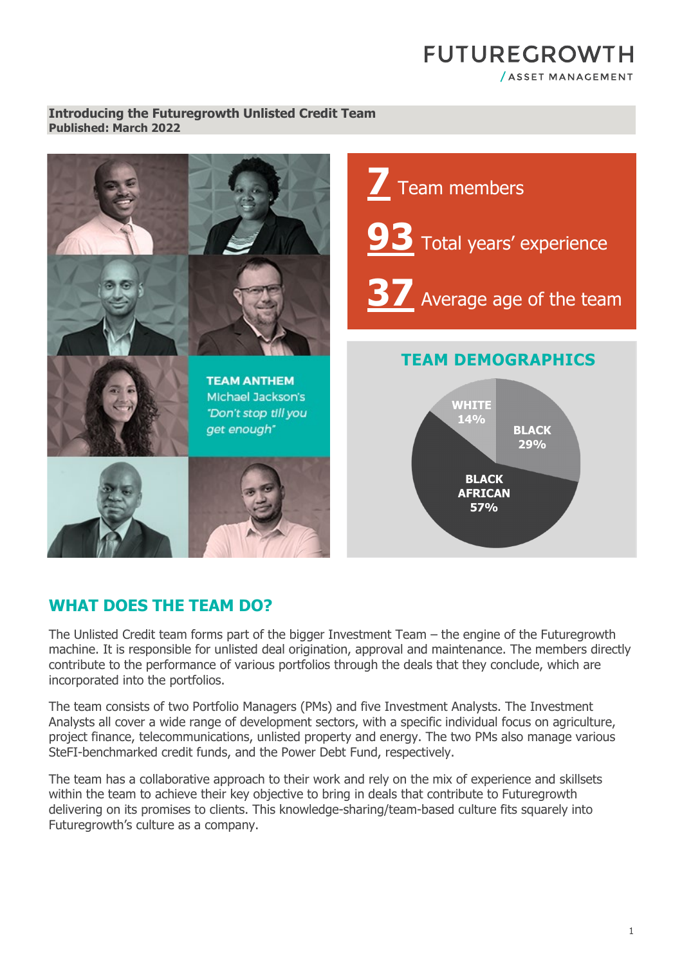# **FUTUREGROWTH** /ASSET MANAGEMENT

#### **Introducing the Futuregrowth Unlisted Credit Team Published: March 2022**



### **WHAT DOES THE TEAM DO?**

The Unlisted Credit team forms part of the bigger Investment Team – the engine of the Futuregrowth machine. It is responsible for unlisted deal origination, approval and maintenance. The members directly contribute to the performance of various portfolios through the deals that they conclude, which are incorporated into the portfolios.

The team consists of two Portfolio Managers (PMs) and five Investment Analysts. The Investment Analysts all cover a wide range of development sectors, with a specific individual focus on agriculture, project finance, telecommunications, unlisted property and energy. The two PMs also manage various SteFI-benchmarked credit funds, and the Power Debt Fund, respectively.

The team has a collaborative approach to their work and rely on the mix of experience and skillsets within the team to achieve their key objective to bring in deals that contribute to Futuregrowth delivering on its promises to clients. This knowledge-sharing/team-based culture fits squarely into Futuregrowth's culture as a company.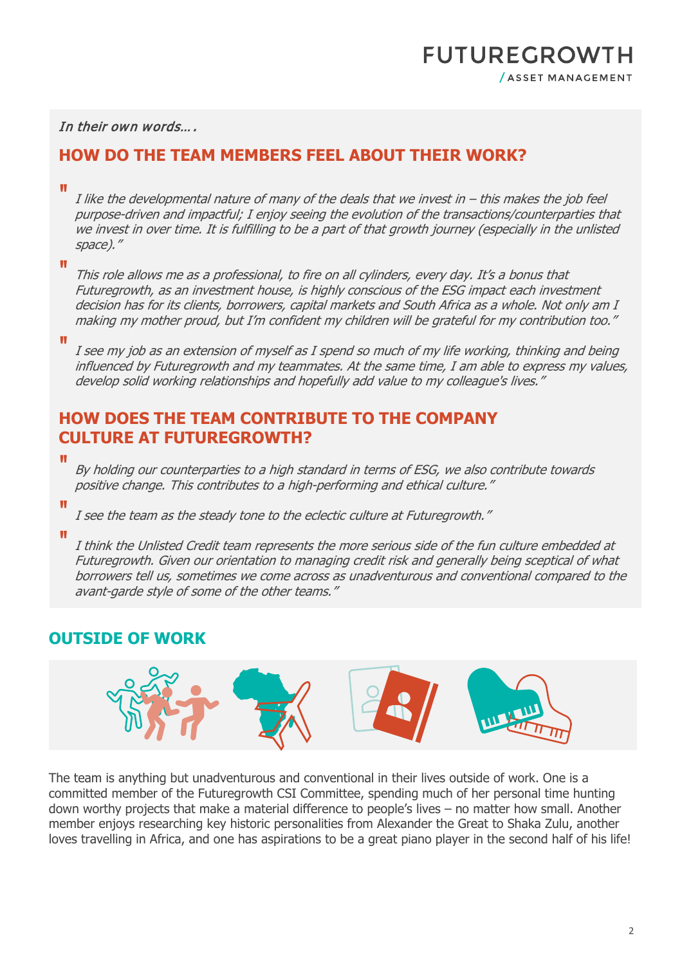# **FUTUREGROWTH** / ASSET MANAGEMENT

In their own words….

# **HOW DO THE TEAM MEMBERS FEEL ABOUT THEIR WORK?**

"

I like the developmental nature of many of the deals that we invest in – this makes the job feel purpose-driven and impactful; I enjoy seeing the evolution of the transactions/counterparties that we invest in over time. It is fulfilling to be a part of that growth journey (especially in the unlisted space)."

"

This role allows me as a professional, to fire on all cylinders, every day. It's a bonus that Futuregrowth, as an investment house, is highly conscious of the ESG impact each investment decision has for its clients, borrowers, capital markets and South Africa as a whole. Not only am I making my mother proud, but I'm confident my children will be grateful for my contribution too."

"

I see my job as an extension of myself as I spend so much of my life working, thinking and being influenced by Futuregrowth and my teammates. At the same time, I am able to express my values, develop solid working relationships and hopefully add value to my colleague's lives."

# **HOW DOES THE TEAM CONTRIBUTE TO THE COMPANY CULTURE AT FUTUREGROWTH?**

"

By holding our counterparties to a high standard in terms of ESG, we also contribute towards positive change. This contributes to a high-performing and ethical culture."

" I see the team as the steady tone to the eclectic culture at Futuregrowth."

"

I think the Unlisted Credit team represents the more serious side of the fun culture embedded at Futuregrowth. Given our orientation to managing credit risk and generally being sceptical of what borrowers tell us, sometimes we come across as unadventurous and conventional compared to the avant-garde style of some of the other teams."

# **OUTSIDE OF WORK**



The team is anything but unadventurous and conventional in their lives outside of work. One is a committed member of the Futuregrowth CSI Committee, spending much of her personal time hunting down worthy projects that make a material difference to people's lives – no matter how small. Another member enjoys researching key historic personalities from Alexander the Great to Shaka Zulu, another loves travelling in Africa, and one has aspirations to be a great piano player in the second half of his life!